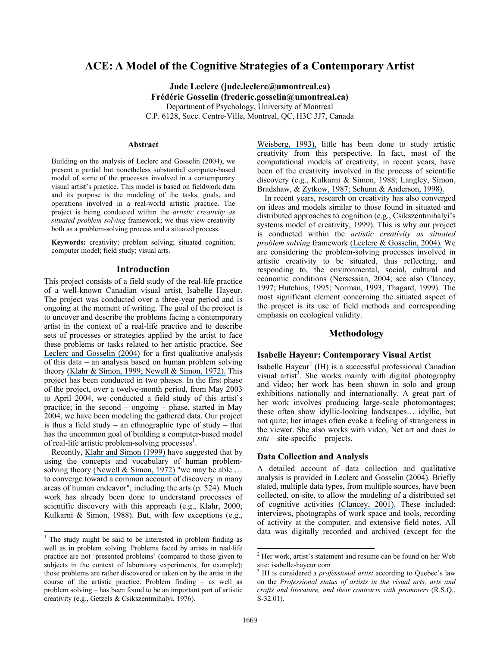# **ACE: A Model of the Cognitive Strategies of a Contemporary Artist**

**Jude Leclerc (jude.leclerc@umontreal.ca) Frédéric Gosselin (frederic.gosselin@umontreal.ca)**  Department of Psychology, University of Montreal C.P. 6128, Succ. Centre-Ville, Montreal, QC, H3C 3J7, Canada

#### **Abstract**

Building on the analysis of Leclerc and Gosselin (2004), we present a partial but nonetheless substantial computer-based model of some of the processes involved in a contemporary visual artist's practice. This model is based on fieldwork data and its purpose is the modeling of the tasks, goals, and operations involved in a real-world artistic practice. The project is being conducted within the *artistic creativity as situated problem solving* framework; we thus view creativity both as a problem-solving process and a situated process.

**Keywords:** creativity; problem solving; situated cognition; computer model; field study; visual arts.

### **Introduction**

This project consists of a field study of the real-life practice of a well-known Canadian visual artist, Isabelle Hayeur. The project was conducted over a three-year period and is ongoing at the moment of writing. The goal of the project is to uncover and describe the problems facing a contemporary artist in the context of a real-life practice and to describe sets of processes or strategies applied by the artist to face these problems or tasks related to her artistic practice. See [Leclerc and Gosselin \(2004\)](https://www.researchgate.net/publication/228955335_Processes_of_artistic_creativity_The_case_of_Isabelle_Hayeur?el=1_x_8&enrichId=rgreq-8819b52e-1dd4-430d-b2d2-7486b2c9fbdd&enrichSource=Y292ZXJQYWdlOzIyODk3NzA0MjtBUzoyMTYwMzQxODQzMDY2OTBAMTQyODUxNzk3MTg3Ng==) for a first qualitative analysis of this data – an analysis based on human problem solving theory [\(Klahr & Simon, 1999; Newell & Simon, 1972\).](https://www.researchgate.net/publication/232576697_Studies_of_Scientific_Discovery_Complementary_Approaches_and_Convergent_Findings?el=1_x_8&enrichId=rgreq-8819b52e-1dd4-430d-b2d2-7486b2c9fbdd&enrichSource=Y292ZXJQYWdlOzIyODk3NzA0MjtBUzoyMTYwMzQxODQzMDY2OTBAMTQyODUxNzk3MTg3Ng==) This project has been conducted in two phases. In the first phase of the project, over a twelve-month period, from May 2003 to April 2004, we conducted a field study of this artist's practice; in the second – ongoing – phase, started in May 2004, we have been modeling the gathered data. Our project is thus a field study – an ethnographic type of study – that has the uncommon goal of building a computer-based model of real-life artistic problem-solving processes<sup>1</sup>.

Recently, [Klahr and Simon \(1999\)](https://www.researchgate.net/publication/232576697_Studies_of_Scientific_Discovery_Complementary_Approaches_and_Convergent_Findings?el=1_x_8&enrichId=rgreq-8819b52e-1dd4-430d-b2d2-7486b2c9fbdd&enrichSource=Y292ZXJQYWdlOzIyODk3NzA0MjtBUzoyMTYwMzQxODQzMDY2OTBAMTQyODUxNzk3MTg3Ng==) have suggested that by using the concepts and vocabulary of human problem-solving theory [\(Newell & Simon, 1972\)](https://www.researchgate.net/publication/225070560_Human_Problem_Solving?el=1_x_8&enrichId=rgreq-8819b52e-1dd4-430d-b2d2-7486b2c9fbdd&enrichSource=Y292ZXJQYWdlOzIyODk3NzA0MjtBUzoyMTYwMzQxODQzMDY2OTBAMTQyODUxNzk3MTg3Ng==) "we may be able ... to converge toward a common account of discovery in many areas of human endeavor", including the arts (p. 524). Much work has already been done to understand processes of scientific discovery with this approach (e.g., Klahr, 2000; Kulkarni & Simon, 1988). But, with few exceptions (e.g.,

[Weisberg, 1993\),](https://www.researchgate.net/publication/243782330_Creativity_Beyond_the_Myth_of_Genius?el=1_x_8&enrichId=rgreq-8819b52e-1dd4-430d-b2d2-7486b2c9fbdd&enrichSource=Y292ZXJQYWdlOzIyODk3NzA0MjtBUzoyMTYwMzQxODQzMDY2OTBAMTQyODUxNzk3MTg3Ng==) little has been done to study artistic creativity from this perspective. In fact, most of the computational models of creativity, in recent years, have been of the creativity involved in the process of scientific discovery (e.g., Kulkarni & Simon, 1988; Langley, Simon, Bradshaw, & [Zytkow, 1987; Schunn & Anderson, 1998\).](https://www.researchgate.net/publication/220041933_The_atomic_components_of_thought?el=1_x_8&enrichId=rgreq-8819b52e-1dd4-430d-b2d2-7486b2c9fbdd&enrichSource=Y292ZXJQYWdlOzIyODk3NzA0MjtBUzoyMTYwMzQxODQzMDY2OTBAMTQyODUxNzk3MTg3Ng==)

In recent years, research on creativity has also converged on ideas and models similar to those found in situated and distributed approaches to cognition (e.g., Csikszentmihalyi's systems model of creativity, 1999). This is why our project is conducted within the *artistic creativity as situated problem solving* framework [\(Leclerc & Gosselin, 2004\).](https://www.researchgate.net/publication/228955335_Processes_of_artistic_creativity_The_case_of_Isabelle_Hayeur?el=1_x_8&enrichId=rgreq-8819b52e-1dd4-430d-b2d2-7486b2c9fbdd&enrichSource=Y292ZXJQYWdlOzIyODk3NzA0MjtBUzoyMTYwMzQxODQzMDY2OTBAMTQyODUxNzk3MTg3Ng==) We are considering the problem-solving processes involved in artistic creativity to be situated, thus reflecting, and responding to, the environmental, social, cultural and economic conditions (Nersessian, 2004; see also Clancey, 1997; Hutchins, 1995; Norman, 1993; Thagard, 1999). The most significant element concerning the situated aspect of the project is its use of field methods and corresponding emphasis on ecological validity.

# **Methodology**

### **Isabelle Hayeur: Contemporary Visual Artist**

Isabelle Hayeur<sup>2</sup> (IH) is a successful professional Canadian visual artist<sup>3</sup>. She works mainly with digital photography and video; her work has been shown in solo and group exhibitions nationally and internationally. A great part of her work involves producing large-scale photomontages; these often show idyllic-looking landscapes… idyllic, but not quite; her images often evoke a feeling of strangeness in the viewer. She also works with video, Net art and does *in*   $situ - site-specific - projects.$ 

#### **Data Collection and Analysis**

A detailed account of data collection and qualitative analysis is provided in Leclerc and Gosselin (2004). Briefly stated, multiple data types, from multiple sources, have been collected, on-site, to allow the modeling of a distributed set of cognitive activities [\(Clancey, 2001\).](https://www.researchgate.net/publication/2385694_Field_Science_Ethnography_Methods_for_Systematic_Observation_on_an_Arctic_Expedition?el=1_x_8&enrichId=rgreq-8819b52e-1dd4-430d-b2d2-7486b2c9fbdd&enrichSource=Y292ZXJQYWdlOzIyODk3NzA0MjtBUzoyMTYwMzQxODQzMDY2OTBAMTQyODUxNzk3MTg3Ng==) These included: interviews, photographs of work space and tools, recording of activity at the computer, and extensive field notes. All data was digitally recorded and archived (except for the

 $\overline{a}$ 

<sup>&</sup>lt;sup>1</sup> The study might be said to be interested in problem finding as well as in problem solving. Problems faced by artists in real-life practice are not 'presented problems' (compared to those given to subjects in the context of laboratory experiments, for example); those problems are rather discovered or taken on by the artist in the course of the artistic practice. Problem finding – as well as problem solving – has been found to be an important part of artistic creativity (e.g., Getzels & Csikszentmihalyi, 1976).

<sup>2</sup> Her work, artist's statement and resume can be found on her Web site: isabelle-hayeur.com

<sup>3</sup> IH is considered a *professional artist* according to Quebec's law on the *Professional status of artists in the visual arts, arts and crafts and literature, and their contracts with promoters* (R.S.Q., S-32.01).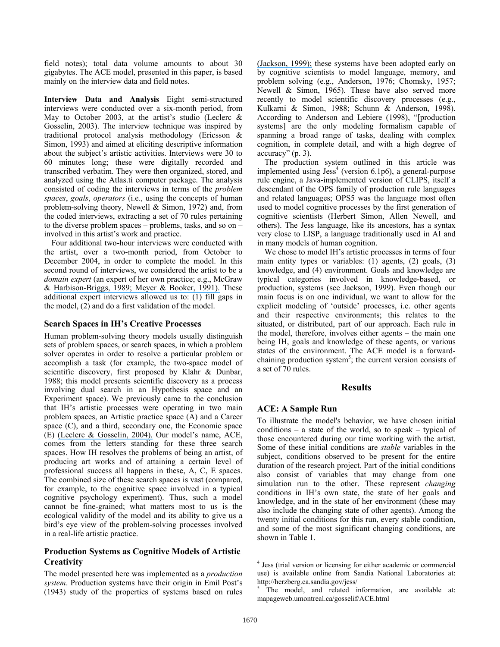field notes); total data volume amounts to about 30 gigabytes. The ACE model, presented in this paper, is based mainly on the interview data and field notes.

**Interview Data and Analysis** Eight semi-structured interviews were conducted over a six-month period, from May to October 2003, at the artist's studio (Leclerc & Gosselin, 2003). The interview technique was inspired by traditional protocol analysis methodology (Ericsson & Simon, 1993) and aimed at eliciting descriptive information about the subject's artistic activities. Interviews were 30 to 60 minutes long; these were digitally recorded and transcribed verbatim. They were then organized, stored, and analyzed using the Atlas.ti computer package. The analysis consisted of coding the interviews in terms of the *problem spaces*, *goals*, *operators* (i.e., using the concepts of human problem-solving theory, Newell & Simon, 1972) and, from the coded interviews, extracting a set of 70 rules pertaining to the diverse problem spaces – problems, tasks, and so on – involved in this artist's work and practice.

Four additional two-hour interviews were conducted with the artist, over a two-month period, from October to December 2004, in order to complete the model. In this second round of interviews, we considered the artist to be a *domain expert* (an expert of her own practice; e.g., McGraw & [Harbison-Briggs, 1989; Meyer & Booker, 1991\).](https://www.researchgate.net/publication/268633963_Eliciting_and_Analyzing_Expert_Judgment_A_Practical_Guide?el=1_x_8&enrichId=rgreq-8819b52e-1dd4-430d-b2d2-7486b2c9fbdd&enrichSource=Y292ZXJQYWdlOzIyODk3NzA0MjtBUzoyMTYwMzQxODQzMDY2OTBAMTQyODUxNzk3MTg3Ng==) These additional expert interviews allowed us to: (1) fill gaps in the model, (2) and do a first validation of the model.

### **Search Spaces in IH's Creative Processes**

Human problem-solving theory models usually distinguish sets of problem spaces, or search spaces, in which a problem solver operates in order to resolve a particular problem or accomplish a task (for example, the two-space model of scientific discovery, first proposed by Klahr & Dunbar, 1988; this model presents scientific discovery as a process involving dual search in an Hypothesis space and an Experiment space). We previously came to the conclusion that IH's artistic processes were operating in two main problem spaces, an Artistic practice space (A) and a Career space (C), and a third, secondary one, the Economic space (E) [\(Leclerc & Gosselin, 2004\).](https://www.researchgate.net/publication/228955335_Processes_of_artistic_creativity_The_case_of_Isabelle_Hayeur?el=1_x_8&enrichId=rgreq-8819b52e-1dd4-430d-b2d2-7486b2c9fbdd&enrichSource=Y292ZXJQYWdlOzIyODk3NzA0MjtBUzoyMTYwMzQxODQzMDY2OTBAMTQyODUxNzk3MTg3Ng==) Our model's name, ACE, comes from the letters standing for these three search spaces. How IH resolves the problems of being an artist, of producing art works and of attaining a certain level of professional success all happens in these, A, C, E spaces. The combined size of these search spaces is vast (compared, for example, to the cognitive space involved in a typical cognitive psychology experiment). Thus, such a model cannot be fine-grained; what matters most to us is the ecological validity of the model and its ability to give us a bird's eye view of the problem-solving processes involved in a real-life artistic practice.

# **Production Systems as Cognitive Models of Artistic Creativity**

The model presented here was implemented as a *production system*. Production systems have their origin in Emil Post's (1943) study of the properties of systems based on rules [\(Jackson, 1999\);](https://www.researchgate.net/publication/230641331_Introduction_to_Expert_Systems?el=1_x_8&enrichId=rgreq-8819b52e-1dd4-430d-b2d2-7486b2c9fbdd&enrichSource=Y292ZXJQYWdlOzIyODk3NzA0MjtBUzoyMTYwMzQxODQzMDY2OTBAMTQyODUxNzk3MTg3Ng==) these systems have been adopted early on by cognitive scientists to model language, memory, and problem solving (e.g., Anderson, 1976; Chomsky, 1957; Newell & Simon, 1965). These have also served more recently to model scientific discovery processes (e.g., Kulkarni & Simon, 1988; Schunn & Anderson, 1998). According to Anderson and Lebiere (1998), "[production systems] are the only modeling formalism capable of spanning a broad range of tasks, dealing with complex cognition, in complete detail, and with a high degree of accuracy" (p. 3).

The production system outlined in this article was implemented using  $Jess<sup>4</sup>$  (version 6.1p6), a general-purpose rule engine, a Java-implemented version of CLIPS, itself a descendant of the OPS family of production rule languages and related languages; OPS5 was the language most often used to model cognitive processes by the first generation of cognitive scientists (Herbert Simon, Allen Newell, and others). The Jess language, like its ancestors, has a syntax very close to LISP, a language traditionally used in AI and in many models of human cognition.

We chose to model IH's artistic processes in terms of four main entity types or variables: (1) agents, (2) goals, (3) knowledge, and (4) environment. Goals and knowledge are typical categories involved in knowledge-based, or production, systems (see Jackson, 1999). Even though our main focus is on one individual, we want to allow for the explicit modeling of 'outside' processes, i.e. other agents and their respective environments; this relates to the situated, or distributed, part of our approach. Each rule in the model, therefore, involves either agents – the main one being IH, goals and knowledge of these agents, or various states of the environment. The ACE model is a forwardchaining production system<sup>5</sup>; the current version consists of a set of 70 rules.

# **Results**

# **ACE: A Sample Run**

To illustrate the model's behavior, we have chosen initial conditions – a state of the world, so to speak – typical of those encountered during our time working with the artist. Some of these initial conditions are *stable* variables in the subject, conditions observed to be present for the entire duration of the research project. Part of the initial conditions also consist of variables that may change from one simulation run to the other. These represent *changing*  conditions in IH's own state, the state of her goals and knowledge, and in the state of her environment (these may also include the changing state of other agents). Among the twenty initial conditions for this run, every stable condition, and some of the most significant changing conditions, are shown in Table 1.

-

<sup>4</sup> Jess (trial version or licensing for either academic or commercial use) is available online from Sandia National Laboratories at: http://herzberg.ca.sandia.gov/jess/ 5

The model, and related information, are available at: mapageweb.umontreal.ca/gosselif/ACE.html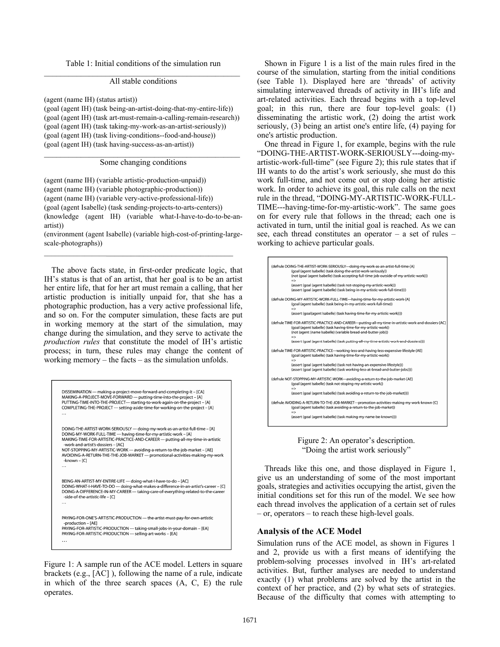Table 1: Initial conditions of the simulation run  $\mathcal{L}_\text{max}$  and  $\mathcal{L}_\text{max}$  and  $\mathcal{L}_\text{max}$  and  $\mathcal{L}_\text{max}$  and  $\mathcal{L}_\text{max}$ 

### All stable conditions

(agent (name IH) (status artist))

(goal (agent IH) (task being-an-artist-doing-that-my-entire-life)) (goal (agent IH) (task art-must-remain-a-calling-remain-research)) (goal (agent IH) (task taking-my-work-as-an-artist-seriously)) (goal (agent IH) (task living-conditions--food-and-house)) (goal (agent IH) (task having-success-as-an-artist))

### $\mathcal{L}_\text{max}$  and  $\mathcal{L}_\text{max}$  and  $\mathcal{L}_\text{max}$  and  $\mathcal{L}_\text{max}$  and  $\mathcal{L}_\text{max}$ Some changing conditions

(agent (name IH) (variable artistic-production-unpaid)) (agent (name IH) (variable photographic-production)) (agent (name IH) (variable very-active-professional-life)) (goal (agent Isabelle) (task sending-projects-to-arts-centers)) (knowledge (agent IH) (variable what-I-have-to-do-to-be-anartist))

(environment (agent Isabelle) (variable high-cost-of-printing-largescale-photographs))

The above facts state, in first-order predicate logic, that IH's status is that of an artist, that her goal is to be an artist her entire life, that for her art must remain a calling, that her artistic production is initially unpaid for, that she has a photographic production, has a very active professional life, and so on. For the computer simulation, these facts are put in working memory at the start of the simulation, may change during the simulation, and they serve to activate the *production rules* that constitute the model of IH's artistic process; in turn, these rules may change the content of working memory – the facts – as the simulation unfolds.

```
DISSEMINATION --- making-a-project-move-forward-and-completing-it - [CA]<br>MAKING-A-PROJECT-MOVE-FORWARD --- putting-time-into-the-project - [A]
PUTTING-TIME-INTO-THE-PROJECT--- starting-to-work-again-on-the-project - [A]<br>COMPLETING-THE-PROJECT --- setting-aside-time-for-working-on-the-project - [A]
DOING-THE-ARTIST-WORK-SERIOUSLY --- doing-my-work-as-an-artist-full-time - [A]
DOING-MY-WORK-FULL-TIME --- having-time-for-my-artistic-work - [A]
MAKING-TIME-FOR-ARTISTIC-PRACTICE-AND-CAREER --- putting-all-my-time-in-artistic
 -work-and-artist's-dossiers - [AC]
NOT-STOPPING-MY-ARTISTIC-WORK --- avoiding-a-return-to-the-job-market - [AE]
AVOIDING-A-RETURN-THE-THE-JOB-MARKET --- promotional-activities-making-my-work
 -known - [C]BEING-AN-ARTIST-MY-ENTIRE-LIFE --- doing-what-l-have-to-do - [AC]
DOING-WHAT-I-HAVE-TO-DO --- doing-what-makes-a-difference-in-an-artist's-career - [C]<br>DOING-A-DIFFERENCE-IN-MY-CAREER --- taking-care-of-everything-related-to-the-career
 -side-of-the-artistic-life - [C]
PAYING-FOR-ONE'S-ARTISTIC-PRODUCTION --- the-artist-must-pay-for-own-artistic
-production – [AE]<br>PAYING-FOR-ARTISTIC-PRODUCTION --- taking-small-jobs-in-your-domain – [EA]
PAYING-FOR-ARTISTIC-PRODUCTION --- selling-art-works - [EA]
```
Figure 1: A sample run of the ACE model. Letters in square brackets (e.g., [AC] ), following the name of a rule, indicate in which of the three search spaces (A, C, E) the rule operates.

Shown in Figure 1 is a list of the main rules fired in the course of the simulation, starting from the initial conditions (see Table 1). Displayed here are 'threads' of activity simulating interweaved threads of activity in IH's life and art-related activities. Each thread begins with a top-level goal; in this run, there are four top-level goals: (1) disseminating the artistic work, (2) doing the artist work seriously, (3) being an artist one's entire life, (4) paying for one's artistic production.

One thread in Figure 1, for example, begins with the rule "DOING-THE-ARTIST-WORK-SERIOUSLY---doing-myartistic-work-full-time" (see Figure 2); this rule states that if IH wants to do the artist's work seriously, she must do this work full-time, and not come out or stop doing her artistic work. In order to achieve its goal, this rule calls on the next rule in the thread, "DOING-MY-ARTISTIC-WORK-FULL-TIME---having-time-for-my-artistic-work". The same goes on for every rule that follows in the thread; each one is activated in turn, until the initial goal is reached. As we can see, each thread constitutes an operator – a set of rules – working to achieve particular goals.





Threads like this one, and those displayed in Figure 1, give us an understanding of some of the most important goals, strategies and activities occupying the artist, given the initial conditions set for this run of the model. We see how each thread involves the application of a certain set of rules – or, operators – to reach these high-level goals.

### **Analysis of the ACE Model**

Simulation runs of the ACE model, as shown in Figures 1 and 2, provide us with a first means of identifying the problem-solving processes involved in IH's art-related activities. But, further analyses are needed to understand exactly (1) what problems are solved by the artist in the context of her practice, and (2) by what sets of strategies. Because of the difficulty that comes with attempting to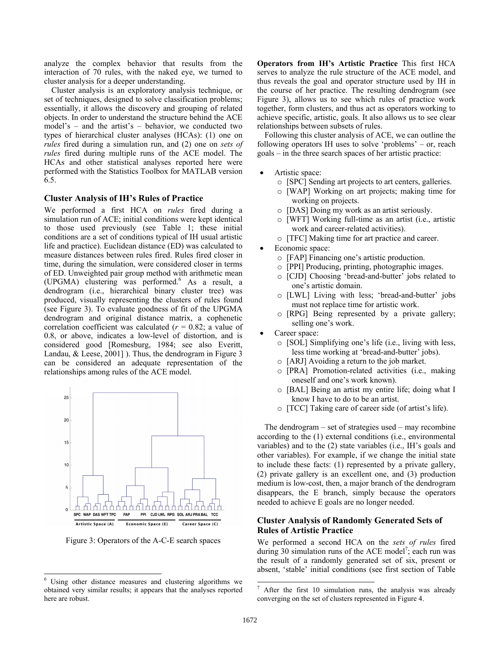analyze the complex behavior that results from the interaction of 70 rules, with the naked eye, we turned to cluster analysis for a deeper understanding.

Cluster analysis is an exploratory analysis technique, or set of techniques, designed to solve classification problems; essentially, it allows the discovery and grouping of related objects. In order to understand the structure behind the ACE model's – and the artist's – behavior, we conducted two types of hierarchical cluster analyses (HCAs): (1) one on *rules* fired during a simulation run, and (2) one on *sets of rules* fired during multiple runs of the ACE model. The HCAs and other statistical analyses reported here were performed with the Statistics Toolbox for MATLAB version 6.5.

### **Cluster Analysis of IH's Rules of Practice**

We performed a first HCA on *rules* fired during a simulation run of ACE; initial conditions were kept identical to those used previously (see Table 1; these initial conditions are a set of conditions typical of IH usual artistic life and practice). Euclidean distance (ED) was calculated to measure distances between rules fired. Rules fired closer in time, during the simulation, were considered closer in terms of ED. Unweighted pair group method with arithmetic mean (UPGMA) clustering was performed.<sup>6</sup> As a result, a dendrogram (i.e., hierarchical binary cluster tree) was produced, visually representing the clusters of rules found (see Figure 3). To evaluate goodness of fit of the UPGMA dendrogram and original distance matrix, a cophenetic correlation coefficient was calculated  $(r = 0.82;$  a value of 0.8, or above, indicates a low-level of distortion, and is considered good [Romesburg, 1984; see also Everitt, Landau, & Leese, 2001] ). Thus, the dendrogram in Figure 3 can be considered an adequate representation of the relationships among rules of the ACE model.



Figure 3: Operators of the A-C-E search spaces

-

**Operators from IH's Artistic Practice** This first HCA serves to analyze the rule structure of the ACE model, and thus reveals the goal and operator structure used by IH in the course of her practice. The resulting dendrogram (see Figure 3), allows us to see which rules of practice work together, form clusters, and thus act as operators working to achieve specific, artistic, goals. It also allows us to see clear relationships between subsets of rules.

Following this cluster analysis of ACE, we can outline the following operators IH uses to solve 'problems' – or, reach goals – in the three search spaces of her artistic practice:

- Artistic space:
	- o [SPC] Sending art projects to art centers, galleries.
	- o [WAP] Working on art projects; making time for working on projects.
	- o [DAS] Doing my work as an artist seriously.
	- o [WFT] Working full-time as an artist (i.e., artistic work and career-related activities).
	- o [TFC] Making time for art practice and career.
- Economic space:
	- o [FAP] Financing one's artistic production.
	- o [PPI] Producing, printing, photographic images.
	- [CJD] Choosing 'bread-and-butter' jobs related to one's artistic domain.
	- o [LWL] Living with less; 'bread-and-butter' jobs must not replace time for artistic work.
	- o [RPG] Being represented by a private gallery; selling one's work.
- Career space:
	- o [SOL] Simplifying one's life (i.e., living with less, less time working at 'bread-and-butter' jobs).
	- o [ARJ] Avoiding a return to the job market.
	- o [PRA] Promotion-related activities (i.e., making oneself and one's work known).
	- o [BAL] Being an artist my entire life; doing what I know I have to do to be an artist.
	- o [TCC] Taking care of career side (of artist's life).

The dendrogram – set of strategies used – may recombine according to the (1) external conditions (i.e., environmental variables) and to the (2) state variables (i.e., IH's goals and other variables). For example, if we change the initial state to include these facts: (1) represented by a private gallery, (2) private gallery is an excellent one, and (3) production medium is low-cost, then, a major branch of the dendrogram disappears, the E branch, simply because the operators needed to achieve E goals are no longer needed.

# **Cluster Analysis of Randomly Generated Sets of Rules of Artistic Practice**

We performed a second HCA on the *sets of rules* fired during 30 simulation runs of the ACE model<sup>7</sup>; each run was the result of a randomly generated set of six, present or absent, 'stable' initial conditions (see first section of Table

<sup>&</sup>lt;sup>6</sup> Using other distance measures and clustering algorithms we obtained very similar results; it appears that the analyses reported here are robust.

 $\overline{7}$  After the first 10 simulation runs, the analysis was already converging on the set of clusters represented in Figure 4.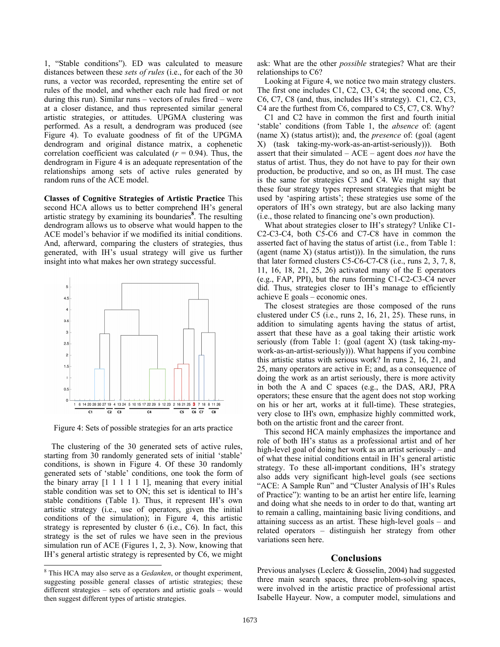1, "Stable conditions"). ED was calculated to measure distances between these *sets of rules* (i.e., for each of the 30 runs, a vector was recorded, representing the entire set of rules of the model, and whether each rule had fired or not during this run). Similar runs – vectors of rules fired – were at a closer distance, and thus represented similar general artistic strategies, or attitudes. UPGMA clustering was performed. As a result, a dendrogram was produced (see Figure 4). To evaluate goodness of fit of the UPGMA dendrogram and original distance matrix, a cophenetic correlation coefficient was calculated  $(r = 0.94)$ . Thus, the dendrogram in Figure 4 is an adequate representation of the relationships among sets of active rules generated by random runs of the ACE model.

**Classes of Cognitive Strategies of Artistic Practice** This second HCA allows us to better comprehend IH's general artistic strategy by examining its boundaries**<sup>8</sup>** . The resulting dendrogram allows us to observe what would happen to the ACE model's behavior if we modified its initial conditions. And, afterward, comparing the clusters of strategies, thus generated, with IH's usual strategy will give us further insight into what makes her own strategy successful.



Figure 4: Sets of possible strategies for an arts practice

The clustering of the 30 generated sets of active rules, starting from 30 randomly generated sets of initial 'stable' conditions, is shown in Figure 4. Of these 30 randomly generated sets of 'stable' conditions, one took the form of the binary array  $[1 \ 1 \ 1 \ 1 \ 1]$ , meaning that every initial stable condition was set to ON; this set is identical to IH's stable conditions (Table 1). Thus, it represent IH's own artistic strategy (i.e., use of operators, given the initial conditions of the simulation); in Figure 4, this artistic strategy is represented by cluster 6 (i.e., C6). In fact, this strategy is the set of rules we have seen in the previous simulation run of ACE (Figures 1, 2, 3). Now, knowing that IH's general artistic strategy is represented by C6, we might

ask: What are the other *possible* strategies? What are their relationships to C6?

Looking at Figure 4, we notice two main strategy clusters. The first one includes C1, C2, C3, C4; the second one, C5, C6, C7, C8 (and, thus, includes IH's strategy). C1, C2, C3, C4 are the furthest from C6, compared to C5, C7, C8. Why?

C1 and C2 have in common the first and fourth initial 'stable' conditions (from Table 1, the *absence* of: (agent (name X) (status artist)); and, the *presence* of: (goal (agent X) (task taking-my-work-as-an-artist-seriously))). Both assert that their simulated – ACE – agent does *not* have the status of artist. Thus, they do not have to pay for their own production, be productive, and so on, as IH must. The case is the same for strategies C3 and C4. We might say that these four strategy types represent strategies that might be used by 'aspiring artists'; these strategies use some of the operators of IH's own strategy, but are also lacking many (i.e., those related to financing one's own production).

What about strategies closer to IH's strategy? Unlike C1- C2-C3-C4, both C5-C6 and C7-C8 have in common the asserted fact of having the status of artist (i.e., from Table 1: (agent (name X) (status artist))). In the simulation, the runs that later formed clusters C5-C6-C7-C8 (i.e., runs 2, 3, 7, 8, 11, 16, 18, 21, 25, 26) activated many of the E operators (e.g., FAP, PPI), but the runs forming C1-C2-C3-C4 never did. Thus, strategies closer to IH's manage to efficiently achieve E goals – economic ones.

The closest strategies are those composed of the runs clustered under C5 (i.e., runs 2, 16, 21, 25). These runs, in addition to simulating agents having the status of artist, assert that these have as a goal taking their artistic work seriously (from Table 1: (goal (agent X) (task taking-mywork-as-an-artist-seriously))). What happens if you combine this artistic status with serious work? In runs 2, 16, 21, and 25, many operators are active in E; and, as a consequence of doing the work as an artist seriously, there is more activity in both the A and C spaces (e.g., the DAS, ARJ, PRA operators; these ensure that the agent does not stop working on his or her art, works at it full-time). These strategies, very close to IH's own, emphasize highly committed work, both on the artistic front and the career front.

This second HCA mainly emphasizes the importance and role of both IH's status as a professional artist and of her high-level goal of doing her work as an artist seriously – and of what these initial conditions entail in IH's general artistic strategy. To these all-important conditions, IH's strategy also adds very significant high-level goals (see sections "ACE: A Sample Run" and "Cluster Analysis of IH's Rules of Practice"): wanting to be an artist her entire life, learning and doing what she needs to in order to do that, wanting art to remain a calling, maintaining basic living conditions, and attaining success as an artist. These high-level goals – and related operators – distinguish her strategy from other variations seen here.

### **Conclusions**

Previous analyses (Leclerc & Gosselin, 2004) had suggested three main search spaces, three problem-solving spaces, were involved in the artistic practice of professional artist Isabelle Hayeur. Now, a computer model, simulations and

<sup>&</sup>lt;sup>8</sup> This HCA may also serve as a *Gedanken*, or thought experiment, suggesting possible general classes of artistic strategies; these different strategies – sets of operators and artistic goals – would then suggest different types of artistic strategies.